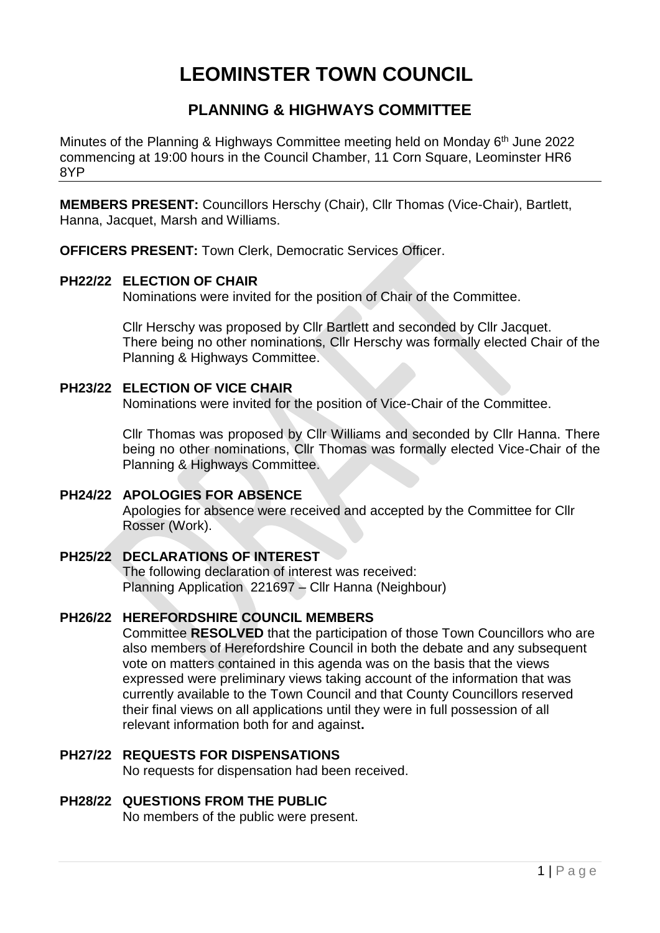# **LEOMINSTER TOWN COUNCIL**

# **PLANNING & HIGHWAYS COMMITTEE**

Minutes of the Planning & Highways Committee meeting held on Monday 6<sup>th</sup> June 2022 commencing at 19:00 hours in the Council Chamber, 11 Corn Square, Leominster HR6 8YP

**MEMBERS PRESENT:** Councillors Herschy (Chair), Cllr Thomas (Vice-Chair), Bartlett, Hanna, Jacquet, Marsh and Williams.

**OFFICERS PRESENT:** Town Clerk, Democratic Services Officer.

# **PH22/22 ELECTION OF CHAIR**

Nominations were invited for the position of Chair of the Committee.

Cllr Herschy was proposed by Cllr Bartlett and seconded by Cllr Jacquet. There being no other nominations, Cllr Herschy was formally elected Chair of the Planning & Highways Committee.

# **PH23/22 ELECTION OF VICE CHAIR**

Nominations were invited for the position of Vice-Chair of the Committee.

Cllr Thomas was proposed by Cllr Williams and seconded by Cllr Hanna. There being no other nominations, Cllr Thomas was formally elected Vice-Chair of the Planning & Highways Committee.

## **PH24/22 APOLOGIES FOR ABSENCE**

Apologies for absence were received and accepted by the Committee for Cllr Rosser (Work).

# **PH25/22 DECLARATIONS OF INTEREST**

The following declaration of interest was received: Planning Application 221697 – Cllr Hanna (Neighbour)

# **PH26/22 HEREFORDSHIRE COUNCIL MEMBERS**

Committee **RESOLVED** that the participation of those Town Councillors who are also members of Herefordshire Council in both the debate and any subsequent vote on matters contained in this agenda was on the basis that the views expressed were preliminary views taking account of the information that was currently available to the Town Council and that County Councillors reserved their final views on all applications until they were in full possession of all relevant information both for and against**.**

# **PH27/22 REQUESTS FOR DISPENSATIONS**

No requests for dispensation had been received.

## **PH28/22 QUESTIONS FROM THE PUBLIC**

No members of the public were present.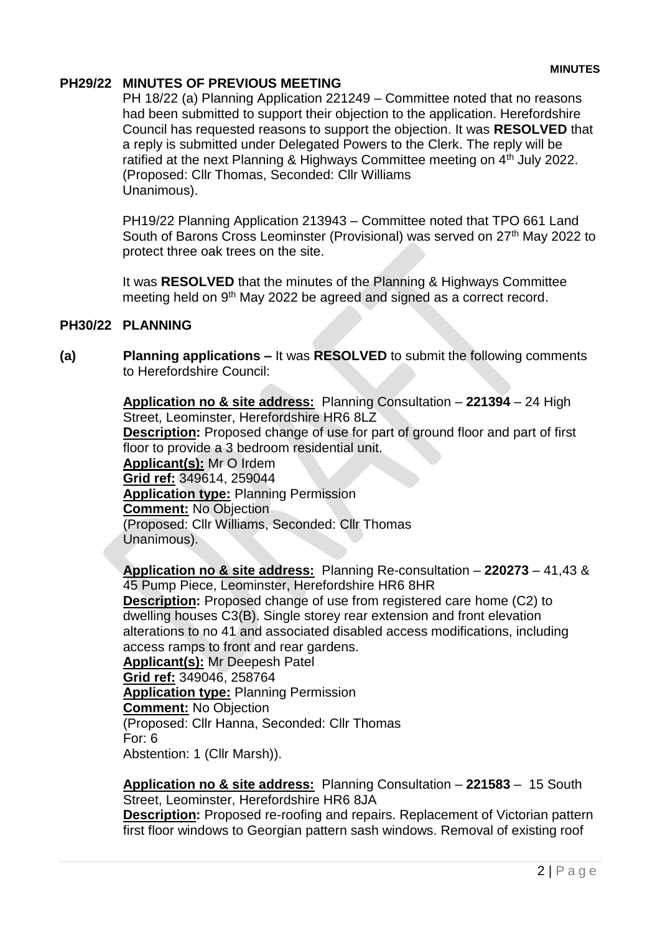# **PH29/22 MINUTES OF PREVIOUS MEETING**

PH 18/22 (a) Planning Application 221249 – Committee noted that no reasons had been submitted to support their objection to the application. Herefordshire Council has requested reasons to support the objection. It was **RESOLVED** that a reply is submitted under Delegated Powers to the Clerk. The reply will be ratified at the next Planning & Highways Committee meeting on 4<sup>th</sup> July 2022. (Proposed: Cllr Thomas, Seconded: Cllr Williams Unanimous).

PH19/22 Planning Application 213943 – Committee noted that TPO 661 Land South of Barons Cross Leominster (Provisional) was served on 27<sup>th</sup> May 2022 to protect three oak trees on the site.

It was **RESOLVED** that the minutes of the Planning & Highways Committee meeting held on 9<sup>th</sup> May 2022 be agreed and signed as a correct record.

## **PH30/22 PLANNING**

**(a) Planning applications –** It was **RESOLVED** to submit the following comments to Herefordshire Council:

> **Application no & site address:** Planning Consultation – **221394** – 24 High Street, Leominster, Herefordshire HR6 8LZ **Description:** Proposed change of use for part of ground floor and part of first floor to provide a 3 bedroom residential unit. **Applicant(s):** Mr O Irdem **Grid ref:** 349614, 259044 **Application type:** Planning Permission **Comment:** No Objection (Proposed: Cllr Williams, Seconded: Cllr Thomas Unanimous).

**Application no & site address:** Planning Re-consultation – **220273** – 41,43 & 45 Pump Piece, Leominster, Herefordshire HR6 8HR **Description:** Proposed change of use from registered care home (C2) to dwelling houses C3(B). Single storey rear extension and front elevation alterations to no 41 and associated disabled access modifications, including access ramps to front and rear gardens. **Applicant(s):** Mr Deepesh Patel

**Grid ref:** 349046, 258764 **Application type:** Planning Permission **Comment:** No Objection (Proposed: Cllr Hanna, Seconded: Cllr Thomas For: 6 Abstention: 1 (Cllr Marsh)).

**Application no & site address:** Planning Consultation – **221583** – 15 South Street, Leominster, Herefordshire HR6 8JA

**Description:** Proposed re-roofing and repairs. Replacement of Victorian pattern first floor windows to Georgian pattern sash windows. Removal of existing roof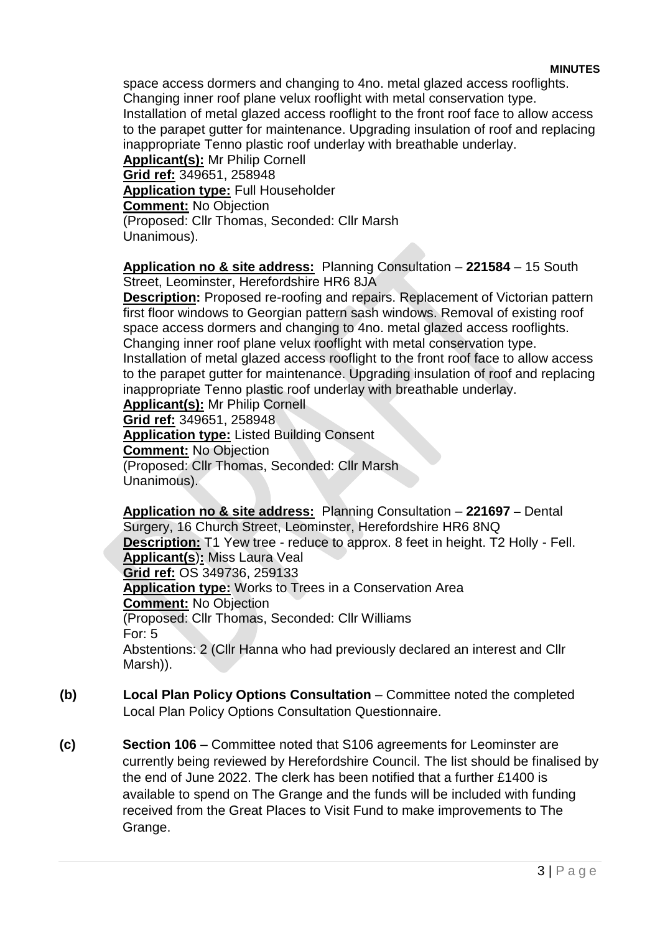space access dormers and changing to 4no. metal glazed access rooflights. Changing inner roof plane velux rooflight with metal conservation type. Installation of metal glazed access rooflight to the front roof face to allow access to the parapet gutter for maintenance. Upgrading insulation of roof and replacing inappropriate Tenno plastic roof underlay with breathable underlay. **Applicant(s):** Mr Philip Cornell **Grid ref:** 349651, 258948 **Application type:** Full Householder **Comment:** No Objection (Proposed: Cllr Thomas, Seconded: Cllr Marsh

Unanimous).

**Application no & site address:** Planning Consultation – **221584** – 15 South Street, Leominster, Herefordshire HR6 8JA

**Description:** Proposed re-roofing and repairs. Replacement of Victorian pattern first floor windows to Georgian pattern sash windows. Removal of existing roof space access dormers and changing to 4no. metal glazed access rooflights. Changing inner roof plane velux rooflight with metal conservation type. Installation of metal glazed access rooflight to the front roof face to allow access to the parapet gutter for maintenance. Upgrading insulation of roof and replacing inappropriate Tenno plastic roof underlay with breathable underlay. **Applicant(s):** Mr Philip Cornell

**Grid ref:** 349651, 258948

**Application type:** Listed Building Consent **Comment:** No Objection (Proposed: Cllr Thomas, Seconded: Cllr Marsh Unanimous).

**Application no & site address:** Planning Consultation – **221697 –** Dental Surgery, 16 Church Street, Leominster, Herefordshire HR6 8NQ **Description:** T1 Yew tree - reduce to approx. 8 feet in height. T2 Holly - Fell. **Applicant(s**)**:** Miss Laura Veal **Grid ref:** OS 349736, 259133 **Application type:** Works to Trees in a Conservation Area **Comment:** No Objection (Proposed: Cllr Thomas, Seconded: Cllr Williams For: 5 Abstentions: 2 (Cllr Hanna who had previously declared an interest and Cllr Marsh)).

- **(b) Local Plan Policy Options Consultation** Committee noted the completed Local Plan Policy Options Consultation Questionnaire.
- **(c) Section 106**  Committee noted that S106 agreements for Leominster are currently being reviewed by Herefordshire Council. The list should be finalised by the end of June 2022. The clerk has been notified that a further £1400 is available to spend on The Grange and the funds will be included with funding received from the Great Places to Visit Fund to make improvements to The Grange.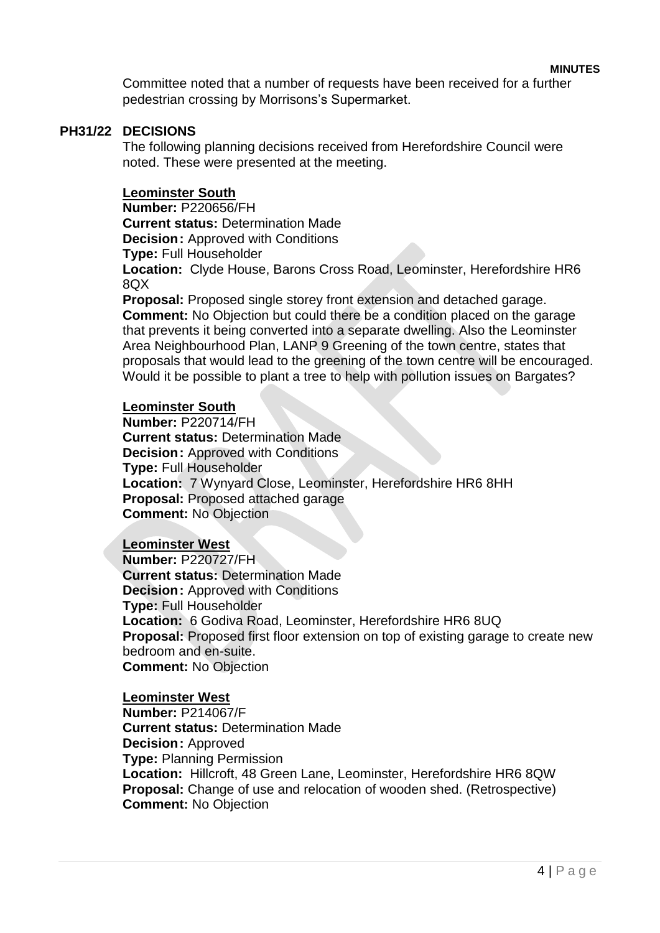**MINUTES**

Committee noted that a number of requests have been received for a further pedestrian crossing by Morrisons's Supermarket.

#### **PH31/22 DECISIONS**

The following planning decisions received from Herefordshire Council were noted. These were presented at the meeting.

#### **Leominster South**

**Number:** P220656/FH **Current status:** Determination Made **Decision: Approved with Conditions Type:** Full Householder **Location:** Clyde House, Barons Cross Road, Leominster, Herefordshire HR6

8QX **Proposal:** Proposed single storey front extension and detached garage. **Comment:** No Objection but could there be a condition placed on the garage that prevents it being converted into a separate dwelling. Also the Leominster Area Neighbourhood Plan, LANP 9 Greening of the town centre, states that proposals that would lead to the greening of the town centre will be encouraged. Would it be possible to plant a tree to help with pollution issues on Bargates?

#### **Leominster South**

**Number:** P220714/FH **Current status:** Determination Made **Decision: Approved with Conditions Type:** Full Householder **Location:** 7 Wynyard Close, Leominster, Herefordshire HR6 8HH **Proposal:** Proposed attached garage **Comment:** No Objection

## **Leominster West**

**Number:** P220727/FH **Current status:** Determination Made **Decision:** Approved with Conditions **Type:** Full Householder **Location:** 6 Godiva Road, Leominster, Herefordshire HR6 8UQ **Proposal:** Proposed first floor extension on top of existing garage to create new bedroom and en-suite. **Comment:** No Objection

#### **Leominster West**

**Number:** P214067/F **Current status:** Determination Made **Decision:** Approved **Type:** Planning Permission **Location:** Hillcroft, 48 Green Lane, Leominster, Herefordshire HR6 8QW **Proposal:** Change of use and relocation of wooden shed. (Retrospective) **Comment:** No Objection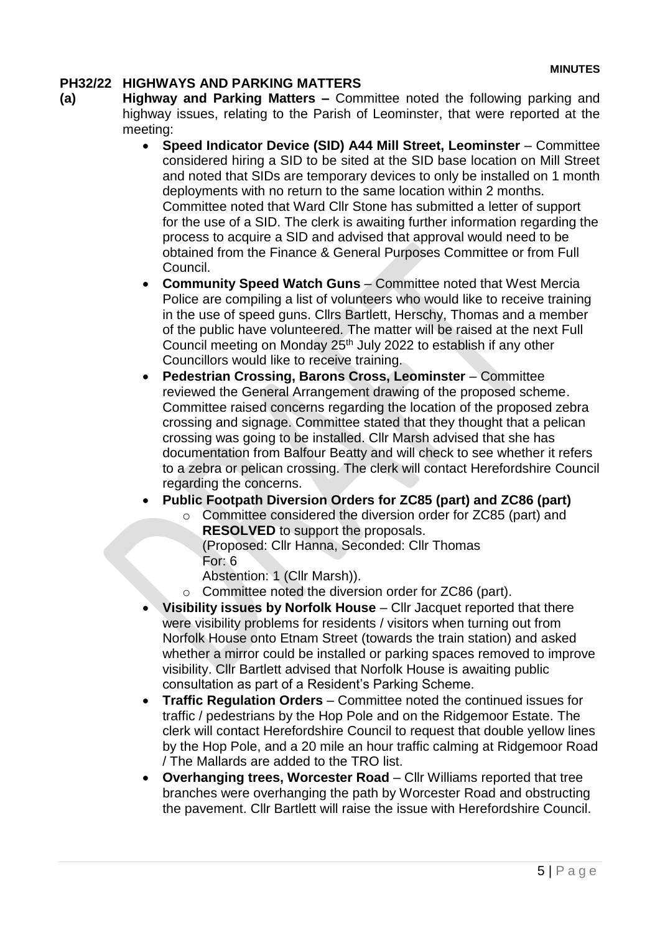# **PH32/22 HIGHWAYS AND PARKING MATTERS**

- **(a) Highway and Parking Matters –** Committee noted the following parking and highway issues, relating to the Parish of Leominster, that were reported at the meeting:
	- **Speed Indicator Device (SID) A44 Mill Street, Leominster**  Committee considered hiring a SID to be sited at the SID base location on Mill Street and noted that SIDs are temporary devices to only be installed on 1 month deployments with no return to the same location within 2 months. Committee noted that Ward Cllr Stone has submitted a letter of support for the use of a SID. The clerk is awaiting further information regarding the process to acquire a SID and advised that approval would need to be obtained from the Finance & General Purposes Committee or from Full Council.
	- **Community Speed Watch Guns** Committee noted that West Mercia Police are compiling a list of volunteers who would like to receive training in the use of speed guns. Cllrs Bartlett, Herschy, Thomas and a member of the public have volunteered. The matter will be raised at the next Full Council meeting on Monday 25<sup>th</sup> July 2022 to establish if any other Councillors would like to receive training.
	- **Pedestrian Crossing, Barons Cross, Leominster**  Committee reviewed the General Arrangement drawing of the proposed scheme. Committee raised concerns regarding the location of the proposed zebra crossing and signage. Committee stated that they thought that a pelican crossing was going to be installed. Cllr Marsh advised that she has documentation from Balfour Beatty and will check to see whether it refers to a zebra or pelican crossing. The clerk will contact Herefordshire Council regarding the concerns.
	- **Public Footpath Diversion Orders for ZC85 (part) and ZC86 (part)**
		- o Committee considered the diversion order for ZC85 (part) and **RESOLVED** to support the proposals.
			- (Proposed: Cllr Hanna, Seconded: Cllr Thomas For: 6
			- Abstention: 1 (Cllr Marsh)).
		- o Committee noted the diversion order for ZC86 (part).
	- **Visibility issues by Norfolk House**  Cllr Jacquet reported that there were visibility problems for residents / visitors when turning out from Norfolk House onto Etnam Street (towards the train station) and asked whether a mirror could be installed or parking spaces removed to improve visibility. Cllr Bartlett advised that Norfolk House is awaiting public consultation as part of a Resident's Parking Scheme.
	- **Traffic Regulation Orders** Committee noted the continued issues for traffic / pedestrians by the Hop Pole and on the Ridgemoor Estate. The clerk will contact Herefordshire Council to request that double yellow lines by the Hop Pole, and a 20 mile an hour traffic calming at Ridgemoor Road / The Mallards are added to the TRO list.
	- **Overhanging trees, Worcester Road**  Cllr Williams reported that tree branches were overhanging the path by Worcester Road and obstructing the pavement. Cllr Bartlett will raise the issue with Herefordshire Council.